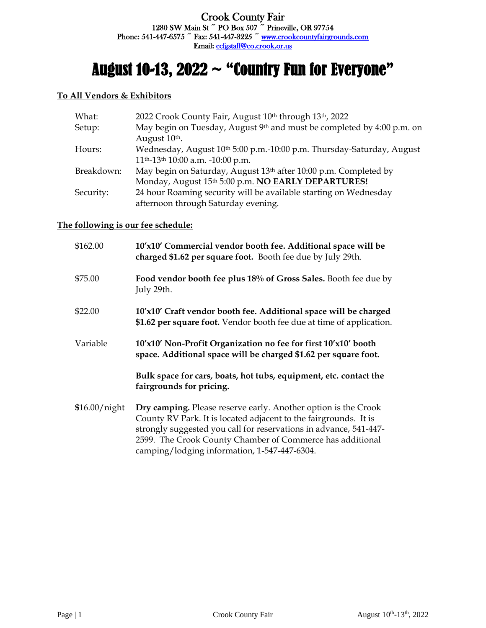# August 10-13, 2022  $\sim$  "Country Fun for Everyone"

#### **To All Vendors & Exhibitors**

| What:      | 2022 Crook County Fair, August 10th through 13th, 2022                 |  |  |
|------------|------------------------------------------------------------------------|--|--|
| Setup:     | May begin on Tuesday, August 9th and must be completed by 4:00 p.m. on |  |  |
|            | August 10 <sup>th</sup> .                                              |  |  |
| Hours:     | Wednesday, August 10th 5:00 p.m.-10:00 p.m. Thursday-Saturday, August  |  |  |
|            | 11 <sup>th</sup> -13 <sup>th</sup> 10:00 a.m. -10:00 p.m.              |  |  |
| Breakdown: | May begin on Saturday, August 13th after 10:00 p.m. Completed by       |  |  |
|            | Monday, August 15th 5:00 p.m. NO EARLY DEPARTURES!                     |  |  |
| Security:  | 24 hour Roaming security will be available starting on Wednesday       |  |  |
|            | afternoon through Saturday evening.                                    |  |  |
|            |                                                                        |  |  |

# **The following is our fee schedule:**

| \$162.00      | 10'x10' Commercial vendor booth fee. Additional space will be<br>charged \$1.62 per square foot. Booth fee due by July 29th.                                                                                                                                                                                         |  |  |
|---------------|----------------------------------------------------------------------------------------------------------------------------------------------------------------------------------------------------------------------------------------------------------------------------------------------------------------------|--|--|
| \$75.00       | Food vendor booth fee plus 18% of Gross Sales. Booth fee due by<br>July 29th.                                                                                                                                                                                                                                        |  |  |
| \$22.00       | 10'x10' Craft vendor booth fee. Additional space will be charged<br>\$1.62 per square foot. Vendor booth fee due at time of application.                                                                                                                                                                             |  |  |
| Variable      | 10'x10' Non-Profit Organization no fee for first 10'x10' booth<br>space. Additional space will be charged \$1.62 per square foot.                                                                                                                                                                                    |  |  |
|               | Bulk space for cars, boats, hot tubs, equipment, etc. contact the<br>fairgrounds for pricing.                                                                                                                                                                                                                        |  |  |
| \$16.00/night | Dry camping. Please reserve early. Another option is the Crook<br>County RV Park. It is located adjacent to the fairgrounds. It is<br>strongly suggested you call for reservations in advance, 541-447-<br>2599. The Crook County Chamber of Commerce has additional<br>camping/lodging information, 1-547-447-6304. |  |  |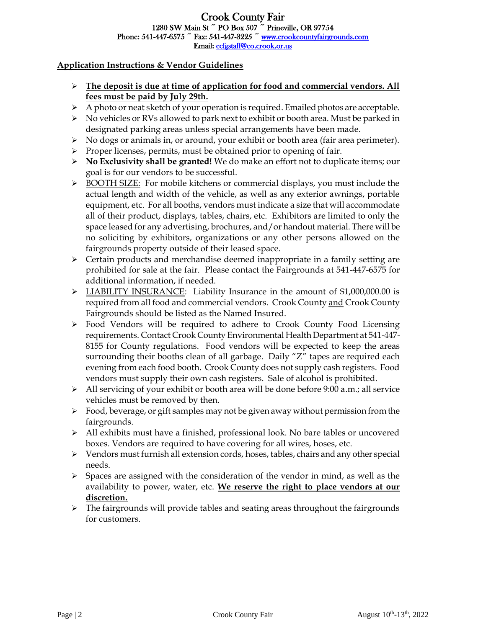# Crook County Fair 1280 SW Main St ~ PO Box 507 ~ Prineville, OR 97754 Phone:  $541-447-6575$   $\tilde{ }$  Fax:  $541-447-3225$   $\tilde{ }$  www.crookcountyfairgrounds.com Email: [ccfgstaff@co.crook.or.us](mailto:ccfgstaff@co.crook.or.us)

# **Application Instructions & Vendor Guidelines**

- ➢ **The deposit is due at time of application for food and commercial vendors. All fees must be paid by July 29th.**
- $\triangleright$  A photo or neat sketch of your operation is required. Emailed photos are acceptable.
- $\triangleright$  No vehicles or RVs allowed to park next to exhibit or booth area. Must be parked in designated parking areas unless special arrangements have been made.
- $\triangleright$  No dogs or animals in, or around, your exhibit or booth area (fair area perimeter).
- ➢ Proper licenses, permits, must be obtained prior to opening of fair.
- ➢ **No Exclusivity shall be granted!** We do make an effort not to duplicate items; our goal is for our vendors to be successful.
- ➢ BOOTH SIZE: For mobile kitchens or commercial displays, you must include the actual length and width of the vehicle, as well as any exterior awnings, portable equipment, etc. For all booths, vendors must indicate a size that will accommodate all of their product, displays, tables, chairs, etc. Exhibitors are limited to only the space leased for any advertising, brochures, and/or handout material. There will be no soliciting by exhibitors, organizations or any other persons allowed on the fairgrounds property outside of their leased space.
- ➢ Certain products and merchandise deemed inappropriate in a family setting are prohibited for sale at the fair. Please contact the Fairgrounds at 541-447-6575 for additional information, if needed.
- $\triangleright$  LIABILITY INSURANCE: Liability Insurance in the amount of \$1,000,000.00 is required from all food and commercial vendors. Crook County and Crook County Fairgrounds should be listed as the Named Insured.
- ➢ Food Vendors will be required to adhere to Crook County Food Licensing requirements. Contact Crook County Environmental Health Department at 541-447- 8155 for County regulations. Food vendors will be expected to keep the areas surrounding their booths clean of all garbage. Daily "Z" tapes are required each evening from each food booth. Crook County does not supply cash registers. Food vendors must supply their own cash registers. Sale of alcohol is prohibited.
- $\triangleright$  All servicing of your exhibit or booth area will be done before 9:00 a.m.; all service vehicles must be removed by then.
- ➢ Food, beverage, or gift samples may not be given away without permission from the fairgrounds.
- $\triangleright$  All exhibits must have a finished, professional look. No bare tables or uncovered boxes. Vendors are required to have covering for all wires, hoses, etc.
- $\triangleright$  Vendors must furnish all extension cords, hoses, tables, chairs and any other special needs.
- $\triangleright$  Spaces are assigned with the consideration of the vendor in mind, as well as the availability to power, water, etc. **We reserve the right to place vendors at our discretion.**
- $\triangleright$  The fairgrounds will provide tables and seating areas throughout the fairgrounds for customers.